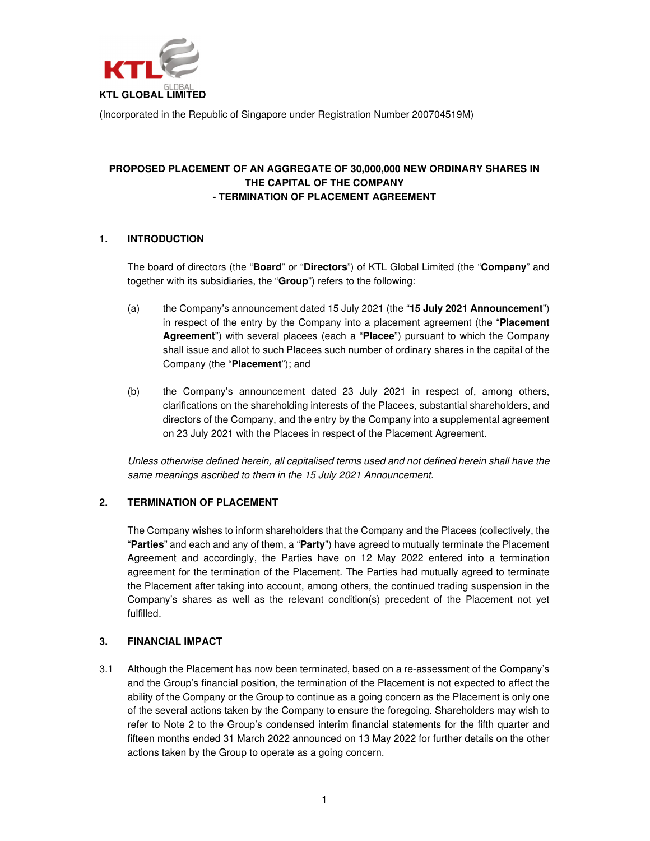

(Incorporated in the Republic of Singapore under Registration Number 200704519M)

## **PROPOSED PLACEMENT OF AN AGGREGATE OF 30,000,000 NEW ORDINARY SHARES IN THE CAPITAL OF THE COMPANY - TERMINATION OF PLACEMENT AGREEMENT**

## **1. INTRODUCTION**

The board of directors (the "**Board**" or "**Directors**") of KTL Global Limited (the "**Company**" and together with its subsidiaries, the "**Group**") refers to the following:

- (a) the Company's announcement dated 15 July 2021 (the "**15 July 2021 Announcement**") in respect of the entry by the Company into a placement agreement (the "**Placement Agreement**") with several placees (each a "**Placee**") pursuant to which the Company shall issue and allot to such Placees such number of ordinary shares in the capital of the Company (the "**Placement**"); and
- (b) the Company's announcement dated 23 July 2021 in respect of, among others, clarifications on the shareholding interests of the Placees, substantial shareholders, and directors of the Company, and the entry by the Company into a supplemental agreement on 23 July 2021 with the Placees in respect of the Placement Agreement.

Unless otherwise defined herein, all capitalised terms used and not defined herein shall have the same meanings ascribed to them in the 15 July 2021 Announcement.

# **2. TERMINATION OF PLACEMENT**

The Company wishes to inform shareholders that the Company and the Placees (collectively, the "**Parties**" and each and any of them, a "**Party**") have agreed to mutually terminate the Placement Agreement and accordingly, the Parties have on 12 May 2022 entered into a termination agreement for the termination of the Placement. The Parties had mutually agreed to terminate the Placement after taking into account, among others, the continued trading suspension in the Company's shares as well as the relevant condition(s) precedent of the Placement not yet fulfilled.

#### **3. FINANCIAL IMPACT**

3.1 Although the Placement has now been terminated, based on a re-assessment of the Company's and the Group's financial position, the termination of the Placement is not expected to affect the ability of the Company or the Group to continue as a going concern as the Placement is only one of the several actions taken by the Company to ensure the foregoing. Shareholders may wish to refer to Note 2 to the Group's condensed interim financial statements for the fifth quarter and fifteen months ended 31 March 2022 announced on 13 May 2022 for further details on the other actions taken by the Group to operate as a going concern.